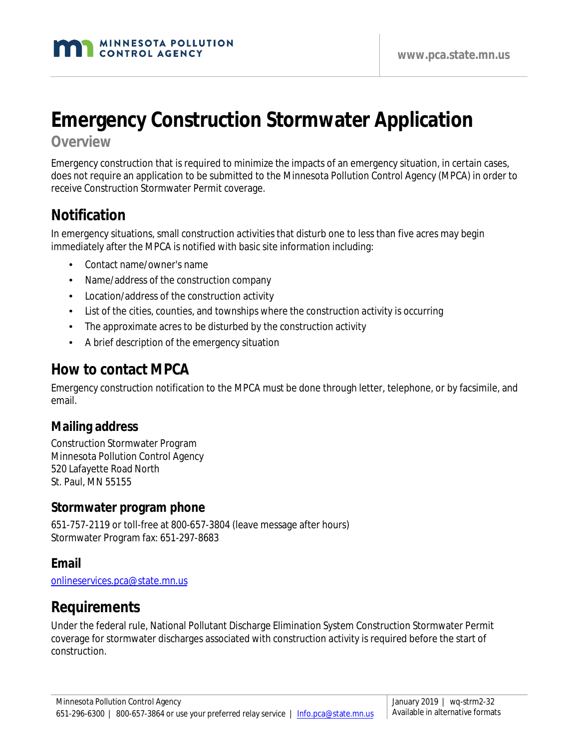# **Emergency Construction Stormwater Application**

#### **Overview**

Emergency construction that is required to minimize the impacts of an emergency situation, in certain cases, does not require an application to be submitted to the Minnesota Pollution Control Agency (MPCA) in order to receive Construction Stormwater Permit coverage.

## **Notification**

In emergency situations, small construction activities that disturb one to less than five acres may begin immediately after the MPCA is notified with basic site information including:

- Contact name/owner's name
- Name/address of the construction company
- Location/address of the construction activity
- List of the cities, counties, and townships where the construction activity is occurring
- The approximate acres to be disturbed by the construction activity
- A brief description of the emergency situation

## **How to contact MPCA**

Emergency construction notification to the MPCA must be done through letter, telephone, or by facsimile, and email.

#### **Mailing address**

Construction Stormwater Program Minnesota Pollution Control Agency 520 Lafayette Road North St. Paul, MN 55155

#### **Stormwater program phone**

651-757-2119 or toll-free at 800-657-3804 (leave message after hours) Stormwater Program fax: 651-297-8683

#### **Email**

[onlineservices.pca@state.mn.us](mailto:onlineservices.pca@state.mn.us)

## **Requirements**

Under the federal rule, National Pollutant Discharge Elimination System Construction Stormwater Permit coverage for stormwater discharges associated with construction activity is required before the start of construction.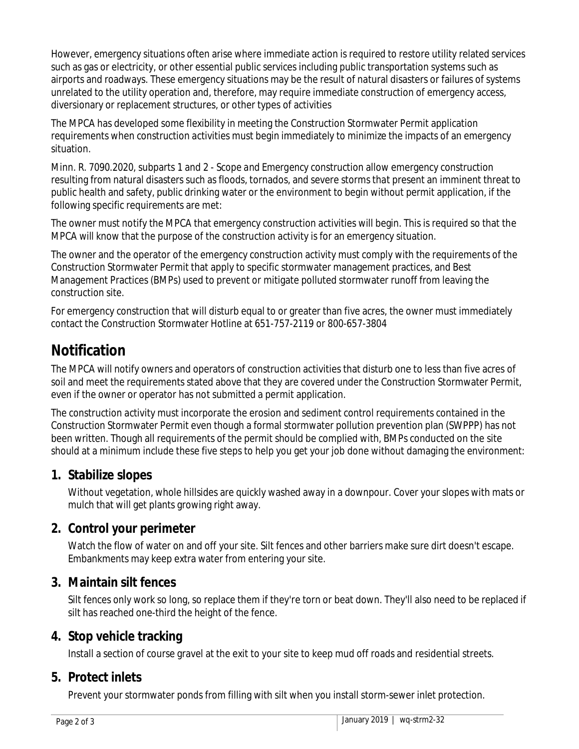However, emergency situations often arise where immediate action is required to restore utility related services such as gas or electricity, or other essential public services including public transportation systems such as airports and roadways. These emergency situations may be the result of natural disasters or failures of systems unrelated to the utility operation and, therefore, may require immediate construction of emergency access, diversionary or replacement structures, or other types of activities

The MPCA has developed some flexibility in meeting the Construction Stormwater Permit application requirements when construction activities must begin immediately to minimize the impacts of an emergency situation.

Minn. R. 7090.2020, subparts 1 and 2 - *Scope and Emergency* construction allow emergency construction resulting from natural disasters such as floods, tornados, and severe storms that present an imminent threat to public health and safety, public drinking water or the environment to begin without permit application, if the following specific requirements are met:

The owner must notify the MPCA that emergency construction activities will begin. This is required so that the MPCA will know that the purpose of the construction activity is for an emergency situation.

The owner and the operator of the emergency construction activity must comply with the requirements of the Construction Stormwater Permit that apply to specific stormwater management practices, and Best Management Practices (BMPs) used to prevent or mitigate polluted stormwater runoff from leaving the construction site.

For emergency construction that will disturb equal to or greater than five acres, the owner must immediately contact the Construction Stormwater Hotline at 651-757-2119 or 800-657-3804

## **Notification**

The MPCA will notify owners and operators of construction activities that disturb one to less than five acres of soil and meet the requirements stated above that they are covered under the Construction Stormwater Permit, even if the owner or operator has not submitted a permit application.

The construction activity must incorporate the erosion and sediment control requirements contained in the Construction Stormwater Permit even though a formal stormwater pollution prevention plan (SWPPP) has not been written. Though all requirements of the permit should be complied with, BMPs conducted on the site should at a minimum include these five steps to help you get your job done without damaging the environment:

### **1. Stabilize slopes**

Without vegetation, whole hillsides are quickly washed away in a downpour. Cover your slopes with mats or mulch that will get plants growing right away.

#### **2. Control your perimeter**

Watch the flow of water on and off your site. Silt fences and other barriers make sure dirt doesn't escape. Embankments may keep extra water from entering your site.

#### **3. Maintain silt fences**

Silt fences only work so long, so replace them if they're torn or beat down. They'll also need to be replaced if silt has reached one-third the height of the fence.

### **4. Stop vehicle tracking**

Install a section of course gravel at the exit to your site to keep mud off roads and residential streets.

### **5. Protect inlets**

Prevent your stormwater ponds from filling with silt when you install storm-sewer inlet protection.